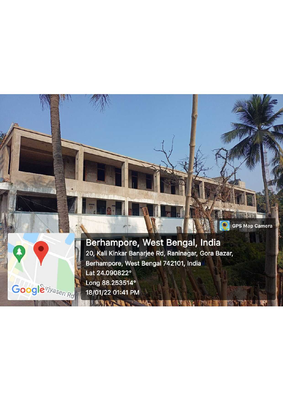

化混合剂

 $\sim$  and  $\mu_{\rm m}$ 

when I The

**GPS Map Camera**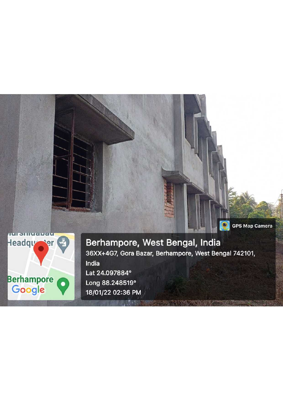

Berhampore, West Bengal, India 36XX+4G7, Gora Bazar, Berhampore, West Bengal 742101, India Lat 24.097884° Long 88.248519° 18/01/22 02:36 PM

**GPS Map Camera**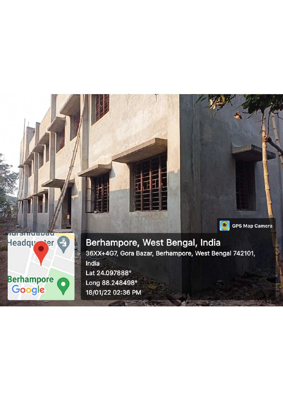

**Headqu** 

**Berhampore** 

Google

ter<sup>\*</sup>

 $\bullet$ 

**GPS Map Camera**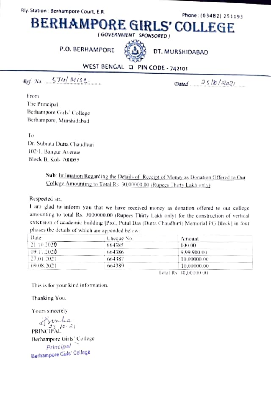Rly. Station : Berhampore Court, E.R.

Phone: (03482) 251193

BERHAMPORE GIRLS' COLLEGE

(GOVERNMENT SPONSORED)

P.O. BERHAMPORE



DT. MURSHIDABAD

# WEST BENGAL D PIN CODE - 742101

 $Ref$  No  $574/Mise$ .

 $Dated = 25/10/2021$ 

From The Principal Berhampore Girls' College Berhampore, Murshidabad

Ŧо Dr. Subrata Dutta Chaudhuri 102/1. Bangur Avenue **Block B. Kol- 700055** 

> Sub: Intimation Regarding the Details of Receipt of Money as Donation Offered to Our College Amounting to Total Rs. 30,00000.00 (Rupees Thirty Lakh only)

Respected sir.

I am glad to inform you that we have received money as donation offered to our college amounting to total Rs. 3000000.00 (Rupees Thirty Lakh only) for the construction of vertical extension of academic building [Prof. Putul Das (Dutta Chaudhuri) Memorial PG Block] in four phases the details of which are appended below:

| Date        | Cheque No.             | Amount      |  |
|-------------|------------------------|-------------|--|
| 21.10.2020  | 664385                 | 100.00      |  |
| 09.11.2020  | 664386                 | 9,99,900.00 |  |
| -27.01.2021 | 664387                 | 10.00000.00 |  |
| 09.08.2021  | 664389                 | 10.00000.00 |  |
|             | Level Den 20 00000 00. |             |  |

Tetal Rs: 30,00000 00

This is for your kind information.

Thanking You.

Yours sincerely

PRINCIPAL<br>PRINCIPAL Berhampore Girls' College Principal Berhampore Girls' College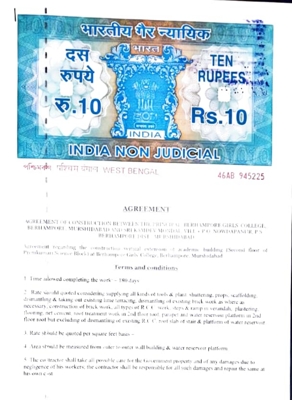

#### परिचम बंगाल, WEST BENGAL পশ্চিমবল

46AB 945225

### AGREEMENT

#### AGREEMENT OF CONSTRUCTION BETWEEN THE PRINCIP VE RERHAMPORE GIRLS' COLLEGE, BERHAMPORE, MURSHIDABAD AND SRI KAMDEV MONDAL, VILL + P.O. NOWDAPANUR, P.S. BERHAMPORE DIST MURSHIDARAD

Asteement regarding the construction vertical extension of academic building (Second floor of Premiumari Science Block) at Berhampore Girls College, Berhampore, Murshidahad

### Terms and conditions

1 Fime allowed completing the work: - 180 days

2 Rate should quoted considering supplying all kinds of tools & plant, shuttering, props, scaffolding, dismantling & taking out existing lime terracing, dismantling of existing brick work as where as necessary, construction of brick work, all types of R.C.C. work, steps & ramp in verandah, plastering, thooring, net cement, roof treatment work in 2nd floor roof, parapet and water reservoir platform in 2nd floor roof but excluding of dismantling of existing R.C.C. roof slab of stair & platform of water reservoir.

3. Rate should be quoted per square feet basis -

4 Area should be measured from outer to outer wall building & water reservoir platform.

5. The coottractor shall take all possible cate for the Government property and of any damages due to negligence of his workers; the contractor shall be responsible for all such damages and repair the same at his own cast.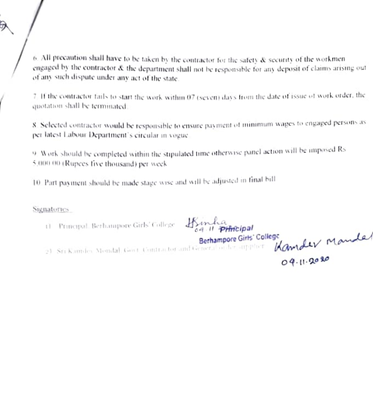$6.$  All precaution shall have to be taken by the contractor for the safety  $\&$  security of the workmen engaged by the contractor & the department shall not be responsible for any deposit of claims arising out of any such dispute under any act of the state.

7. If the contractor fails to start the work within 07 (seven) days from the date of issue of work order, the quotation shall be terminated.

8. Selected contractor would be responsible to ensure payment of minimum wages to engaged persons as per latest Labour Department's circular in vogue.

9. Work should be completed within the stipulated time otherwise panel action will be imposed Rs 5,000.00 (Rupees five thousand) per week

10. Part payment should be made stage wase and will be adjusted in final bill

**Signatories** 

11 Principal Berhampore Girls' College Binha

hicipal Kamder Manda Berhampore Girls' College 2) Sri Kanndes Mondal, Gost, Contractor and General of Accomputer